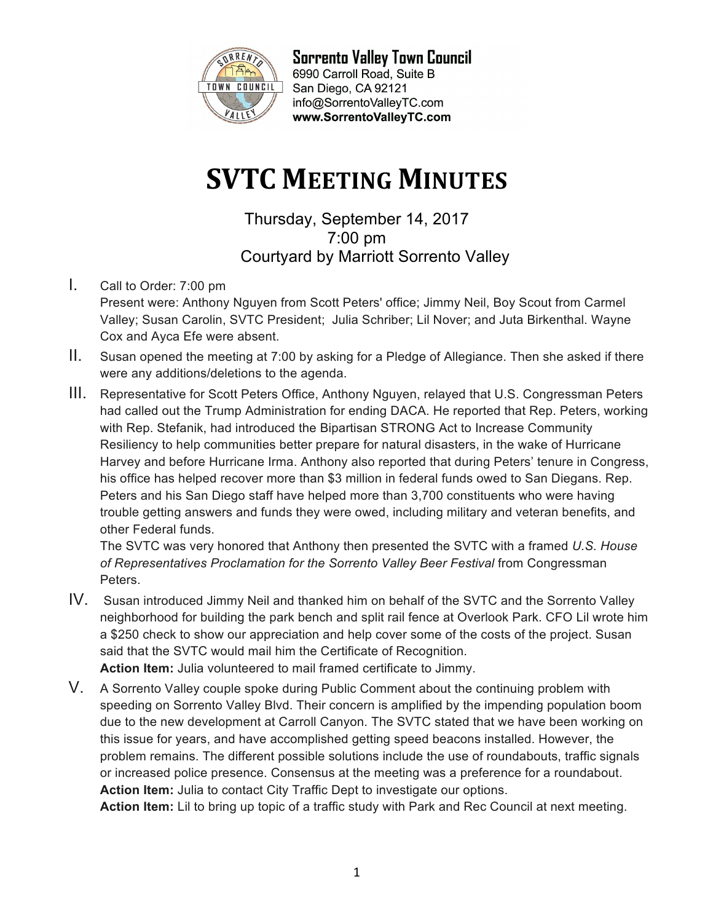

**Sorrento Valley Town Council** 6990 Carroll Road, Suite B San Diego, CA 92121 info@SorrentoValleyTC.com www.SorrentoValleyTC.com

## **SVTC MEETING MINUTES**

Thursday, September 14, 2017 7:00 pm Courtyard by Marriott Sorrento Valley

- I. Call to Order: 7:00 pm Present were: Anthony Nguyen from Scott Peters' office; Jimmy Neil, Boy Scout from Carmel Valley; Susan Carolin, SVTC President; Julia Schriber; Lil Nover; and Juta Birkenthal. Wayne Cox and Ayca Efe were absent.
- II. Susan opened the meeting at 7:00 by asking for a Pledge of Allegiance. Then she asked if there were any additions/deletions to the agenda.
- III. Representative for Scott Peters Office, Anthony Nguyen, relayed that U.S. Congressman Peters had called out the Trump Administration for ending DACA. He reported that Rep. Peters, working with Rep. Stefanik, had introduced the Bipartisan STRONG Act to Increase Community Resiliency to help communities better prepare for natural disasters, in the wake of Hurricane Harvey and before Hurricane Irma. Anthony also reported that during Peters' tenure in Congress, his office has helped recover more than \$3 million in federal funds owed to San Diegans. Rep. Peters and his San Diego staff have helped more than 3,700 constituents who were having trouble getting answers and funds they were owed, including military and veteran benefits, and other Federal funds.

The SVTC was very honored that Anthony then presented the SVTC with a framed *U.S. House*  of Representatives Proclamation for the Sorrento Valley Beer Festival from Congressman Peters.

- IV. Susan introduced Jimmy Neil and thanked him on behalf of the SVTC and the Sorrento Valley neighborhood for building the park bench and split rail fence at Overlook Park. CFO Lil wrote him a \$250 check to show our appreciation and help cover some of the costs of the project. Susan said that the SVTC would mail him the Certificate of Recognition. **Action Item:** Julia volunteered to mail framed certificate to Jimmy.
- V. A Sorrento Valley couple spoke during Public Comment about the continuing problem with speeding on Sorrento Valley Blvd. Their concern is amplified by the impending population boom due to the new development at Carroll Canyon. The SVTC stated that we have been working on this issue for years, and have accomplished getting speed beacons installed. However, the problem remains. The different possible solutions include the use of roundabouts, traffic signals or increased police presence. Consensus at the meeting was a preference for a roundabout. **Action Item:** Julia to contact City Traffic Dept to investigate our options.

**Action Item:** Lil to bring up topic of a traffic study with Park and Rec Council at next meeting.